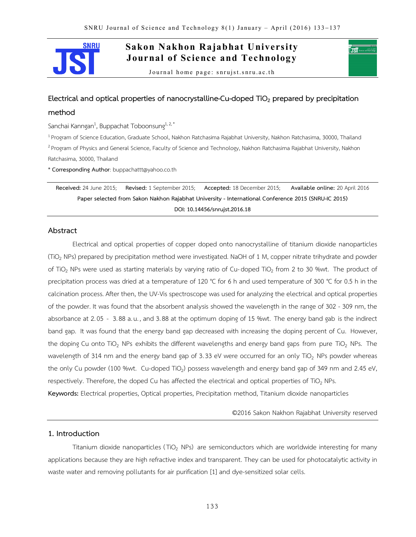

# **Sakon Nakhon Rajabhat University Journal of Science and Technology**

Journal home page: snrujst.snru.ac.th

# **Electrical and optical properties of nanocrystalline-Cu-doped TiO<sup>2</sup> prepared by precipitation**

#### **method**

Sanchai Kanngan<sup>1</sup>, Buppachat Toboonsung<sup>1,2,\*</sup>

<sup>1</sup> Program of Science Education, Graduate School, Nakhon Ratchasima Rajabhat University, Nakhon Ratchasima, 30000, Thailand <sup>2</sup> Program of Physics and General Science, Faculty of Science and Technology, Nakhon Ratchasima Rajabhat University, Nakhon Ratchasima, 30000, Thailand

\* **Corresponding Author**: buppachattt@yahoo.co.th

**Received:** 24 June 2015; **Revised:** 1 September 2015; **Accepted:** 18 December 2015; **Available online:** 20 April 2016 **Paper selected from Sakon Nakhon Rajabhat University - International Conference 2015 (SNRU-IC 2015) DOI: 10.14456/snrujst.2016.18**

# **Abstract**

Electrical and optical properties of copper doped onto nanocrystalline of titanium dioxide nanoparticles (TiO<sup>2</sup> NPs) prepared by precipitation method were investigated. NaOH of 1 M, copper nitrate trihydrate and powder of TiO<sub>2</sub> NPs were used as starting materials by varying ratio of Cu-doped TiO<sub>2</sub> from 2 to 30 %wt. The product of precipitation process was dried at a temperature of 120 °C for 6 h and used temperature of 300 °C for 0.5 h in the calcination process. After then, the UV-Vis spectroscope was used for analyzing the electrical and optical properties of the powder. It was found that the absorbent analysis showed the wavelength in the range of 302 - 309 nm, the absorbance at 2.05 - 3.88 a.u. , and 3.88 at the optimum doping of 15 %wt. The energy band gab is the indirect band gap. It was found that the energy band gap decreased with increasing the doping percent of Cu. However, the doping Cu onto TiO<sub>2</sub> NPs exhibits the different wavelengths and energy band gaps from pure TiO<sub>2</sub> NPs. The wavelength of 314 nm and the energy band gap of 3.33 eV were occurred for an only TiO<sub>2</sub> NPs powder whereas the only Cu powder (100 %wt. Cu-doped TiO<sub>2</sub>) possess wavelength and energy band gap of 349 nm and 2.45 eV, respectively. Therefore, the doped Cu has affected the electrical and optical properties of TiO<sub>2</sub> NPs. **Keywords:** Electrical properties, Optical properties, Precipitation method, Titanium dioxide nanoparticles

©2016 Sakon Nakhon Rajabhat University reserved

′ाडाँ ∘

## **1. Introduction**

Titanium dioxide nanoparticles (TiO<sub>2</sub> NPs) are semiconductors which are worldwide interesting for many applications because they are high refractive index and transparent. They can be used for photocatalytic activity in waste water and removing pollutants for air purification [1] and dye-sensitized solar cells.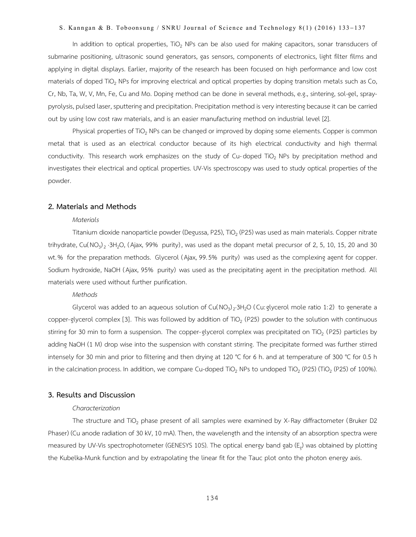In addition to optical properties, TiO<sub>2</sub> NPs can be also used for making capacitors, sonar transducers of submarine positioning, ultrasonic sound generators, gas sensors, components of electronics, light filter films and applying in digital displays. Earlier, majority of the research has been focused on high performance and low cost materials of doped TiO<sub>2</sub> NPs for improving electrical and optical properties by doping transition metals such as Co, Cr, Nb, Ta, W, V, Mn, Fe, Cu and Mo. Doping method can be done in several methods, e.g., sintering, sol-gel, spraypyrolysis, pulsed laser, sputtering and precipitation. Precipitation method is very interesting because it can be carried out by using low cost raw materials, and is an easier manufacturing method on industrial level [2].

Physical properties of TiO<sub>2</sub> NPs can be changed or improved by doping some elements. Copper is common metal that is used as an electrical conductor because of its high electrical conductivity and high thermal conductivity. This research work emphasizes on the study of Cu-doped TiO<sub>2</sub> NPs by precipitation method and investigates their electrical and optical properties. UV-Vis spectroscopy was used to study optical properties of the powder.

#### **2. Materials and Methods**

#### *Materials*

Titanium dioxide nanoparticle powder (Degussa, P25), TiO<sub>2</sub> (P25) was used as main materials. Copper nitrate trihydrate, Cu(NO<sub>3</sub>)<sub>2</sub> ·3H<sub>2</sub>O, (Ajax, 99% purity), was used as the dopant metal precursor of 2, 5, 10, 15, 20 and 30 wt.% for the preparation methods. Glycerol ( Ajax, 99.5% purity) was used as the complexing agent for copper. Sodium hydroxide, NaOH ( Ajax, 95% purity) was used as the precipitating agent in the precipitation method. All materials were used without further purification.

#### *Methods*

Glycerol was added to an aqueous solution of Cu(NO<sub>3</sub>)<sub>2</sub>.3H<sub>2</sub>O (Cu: glycerol mole ratio 1:2) to generate a copper-glycerol complex [3]. This was followed by addition of TiO<sub>2</sub> (P25) powder to the solution with continuous stirring for 30 min to form a suspension. The copper-glycerol complex was precipitated on TiO<sub>2</sub> (P25) particles by adding NaOH (1 M) drop wise into the suspension with constant stirring. The precipitate formed was further stirred intensely for 30 min and prior to filtering and then drying at 120 °C for 6 h. and at temperature of 300 °C for 0.5 h in the calcination process. In addition, we compare Cu-doped TiO<sub>2</sub> NPs to undoped TiO<sub>2</sub> (P25) (TiO<sub>2</sub> (P25) of 100%).

# **3. Results and Discussion**

#### *Characterization*

The structure and TiO<sub>2</sub> phase present of all samples were examined by X-Ray diffractometer (Bruker D2 Phaser) (Cu anode radiation of 30 kV, 10 mA). Then, the wavelength and the intensity of an absorption spectra were measured by UV-Vis spectrophotometer (GENESYS 10S). The optical energy band gab (E<sub>g</sub>) was obtained by plotting the Kubelka-Munk function and by extrapolating the linear fit for the Tauc plot onto the photon energy axis.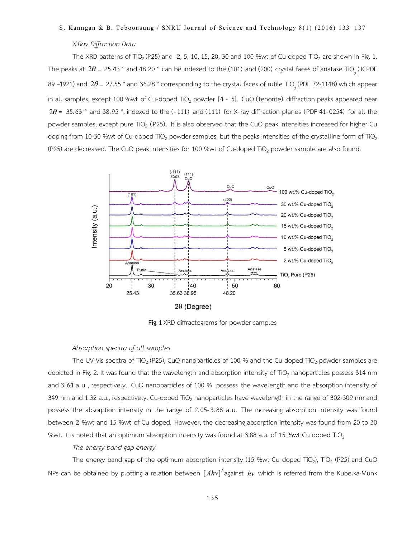#### *X-Ray Diffraction Data*

The XRD patterns of TiO<sub>2</sub> (P25) and 2, 5, 10, 15, 20, 30 and 100 %wt of Cu-doped TiO<sub>2</sub> are shown in Fig. 1. The peaks at  $2\theta$  = 25.43 ° and 48.20 ° can be indexed to the (101) and (200) crystal faces of anatase TiO<sub>2</sub> (JCPDF 89 -4921) and  $2\theta$  = 27.55 ° and 36.28 ° corresponding to the crystal faces of rutile TiO<sub>2</sub> (PDF 72-1148) which appear in all samples, except 100 %wt of Cu-doped TiO<sub>2</sub> powder  $[4 - 5]$ . CuO (tenorite) diffraction peaks appeared near  $2\theta$  = 35.63 ° and 38.95 °, indexed to the (-111) and (111) for X-ray diffraction planes (PDF 41-0254) for all the powder samples, except pure TiO<sub>2</sub> (P25). It is also observed that the CuO peak intensities increased for higher Cu doping from 10-30 % wt of Cu-doped TiO<sub>2</sub> powder samples, but the peaks intensities of the crystalline form of TiO<sub>2</sub> (P25) are decreased. The CuO peak intensities for 100 %wt of Cu-doped TiO<sub>2</sub> powder sample are also found.



**Fig. 1** XRD diffractograms for powder samples

## *Absorption spectra of all samples*

The UV-Vis spectra of TiO<sub>2</sub> (P25), CuO nanoparticles of 100 % and the Cu-doped TiO<sub>2</sub> powder samples are depicted in Fig. 2. It was found that the wavelength and absorption intensity of TiO<sub>2</sub> nanoparticles possess 314 nm and 3.64 a.u. , respectively. CuO nanoparticles of 100 % possess the wavelength and the absorption intensity of 349 nm and 1.32 a.u., respectively. Cu-doped TiO<sub>2</sub> nanoparticles have wavelength in the range of 302-309 nm and possess the absorption intensity in the range of 2.05-3.88 a.u. The increasing absorption intensity was found between 2 %wt and 15 %wt of Cu doped. However, the decreasing absorption intensity was found from 20 to 30 %wt. It is noted that an optimum absorption intensity was found at 3.88 a.u. of 15 %wt Cu doped TiO<sub>2</sub>

#### *The energy band gap energy*

The energy band gap of the optimum absorption intensity (15 %wt Cu doped TiO<sub>2</sub>), TiO<sub>2</sub> (P25) and CuO NPs can be obtained by plotting a relation between  $[Ahv]^2$ against  $hv$  which is referred from the Kubelka-Munk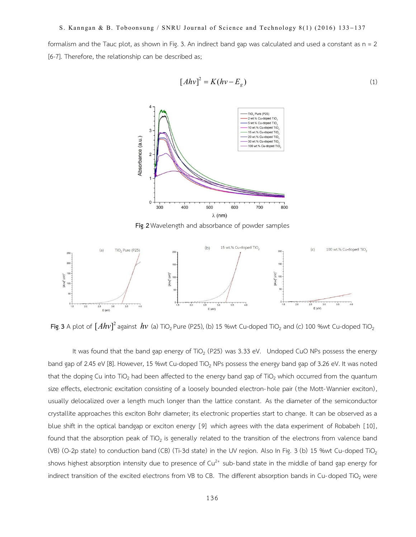formalism and the Tauc plot, as shown in Fig. 3. An indirect band gap was calculated and used a constant as  $n = 2$ [6-7]. Therefore, the relationship can be described as;

$$
[Ahv]^2 = K(hv - E_g)
$$
 (1)



**Fig. 2**Wavelength and absorbance of powder samples



**Fig**. **3** A plot of  $[Ahv]^2$  against  $hv$  (a) TiO<sub>2</sub> Pure (P25), (b) 15 %wt Cu-doped TiO<sub>2</sub> and (c) 100 %wt Cu-doped TiO<sub>2</sub>

It was found that the band gap energy of  $TiO<sub>2</sub>$  (P25) was 3.33 eV. Undoped CuO NPs possess the energy band gap of 2.45 eV [8]. However, 15 %wt Cu-doped TiO<sub>2</sub> NPs possess the energy band gap of 3.26 eV. It was noted that the doping Cu into TiO<sub>2</sub> had been affected to the energy band gap of TiO<sub>2</sub> which occurred from the quantum size effects, electronic excitation consisting of a loosely bounded electron-hole pair (the Mott-Wannier exciton) , usually delocalized over a length much longer than the lattice constant. As the diameter of the semiconductor crystallite approaches this exciton Bohr diameter; its electronic properties start to change. It can be observed as a blue shift in the optical bandgap or exciton energy [9] which agrees with the data experiment of Robabeh [10], found that the absorption peak of TiO<sub>2</sub> is generally related to the transition of the electrons from valence band (VB) (O-2p state) to conduction band (CB) (Ti-3d state) in the UV region. Also In Fig. 3 (b) 15 %wt Cu-doped TiO<sub>2</sub> shows highest absorption intensity due to presence of  $Cu^{2+}$  sub-band state in the middle of band gap energy for indirect transition of the excited electrons from VB to CB. The different absorption bands in Cu-doped TiO<sub>2</sub> were